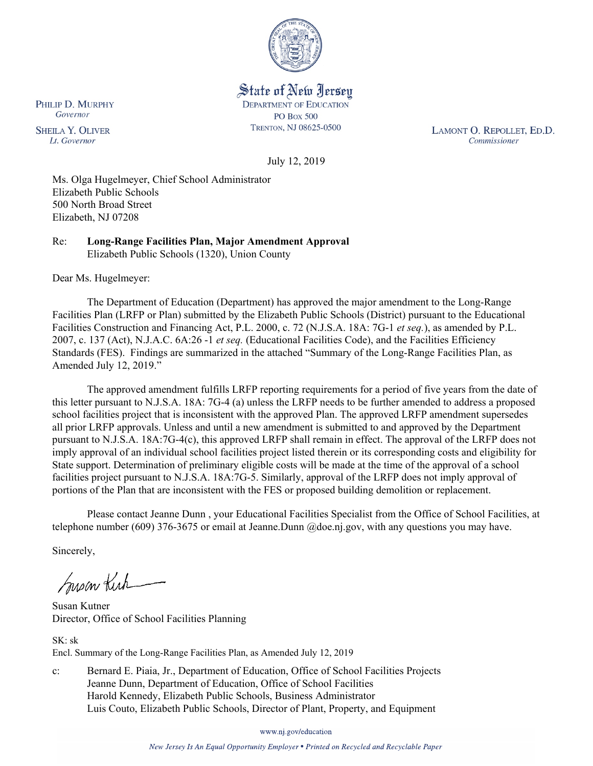

# State of New Jersey **DEPARTMENT OF EDUCATION PO Box 500** TRENTON, NJ 08625-0500

LAMONT O. REPOLLET, ED.D. Commissioner

July 12, 2019

Ms. Olga Hugelmeyer, Chief School Administrator Elizabeth Public Schools 500 North Broad Street Elizabeth, NJ 07208

Re: **Long-Range Facilities Plan, Major Amendment Approval** Elizabeth Public Schools (1320), Union County

Dear Ms. Hugelmeyer:

The Department of Education (Department) has approved the major amendment to the Long-Range Facilities Plan (LRFP or Plan) submitted by the Elizabeth Public Schools (District) pursuant to the Educational Facilities Construction and Financing Act, P.L. 2000, c. 72 (N.J.S.A. 18A: 7G-1 *et seq.*), as amended by P.L. 2007, c. 137 (Act), N.J.A.C. 6A:26 -1 *et seq.* (Educational Facilities Code), and the Facilities Efficiency Standards (FES). Findings are summarized in the attached "Summary of the Long-Range Facilities Plan, as Amended July 12, 2019."

The approved amendment fulfills LRFP reporting requirements for a period of five years from the date of this letter pursuant to N.J.S.A. 18A: 7G-4 (a) unless the LRFP needs to be further amended to address a proposed school facilities project that is inconsistent with the approved Plan. The approved LRFP amendment supersedes all prior LRFP approvals. Unless and until a new amendment is submitted to and approved by the Department pursuant to N.J.S.A. 18A:7G-4(c), this approved LRFP shall remain in effect. The approval of the LRFP does not imply approval of an individual school facilities project listed therein or its corresponding costs and eligibility for State support. Determination of preliminary eligible costs will be made at the time of the approval of a school facilities project pursuant to N.J.S.A. 18A:7G-5. Similarly, approval of the LRFP does not imply approval of portions of the Plan that are inconsistent with the FES or proposed building demolition or replacement.

Please contact Jeanne Dunn , your Educational Facilities Specialist from the Office of School Facilities, at telephone number (609) 376-3675 or email at Jeanne.Dunn @doe.nj.gov, with any questions you may have.

Sincerely,

Susan Kich

Susan Kutner Director, Office of School Facilities Planning

SK: sk Encl. Summary of the Long-Range Facilities Plan, as Amended July 12, 2019

c: Bernard E. Piaia, Jr., Department of Education, Office of School Facilities Projects Jeanne Dunn, Department of Education, Office of School Facilities Harold Kennedy, Elizabeth Public Schools, Business Administrator Luis Couto, Elizabeth Public Schools, Director of Plant, Property, and Equipment

www.nj.gov/education

New Jersey Is An Equal Opportunity Employer . Printed on Recycled and Recyclable Paper

PHILIP D. MURPHY Governor

**SHEILA Y. OLIVER** Lt. Governor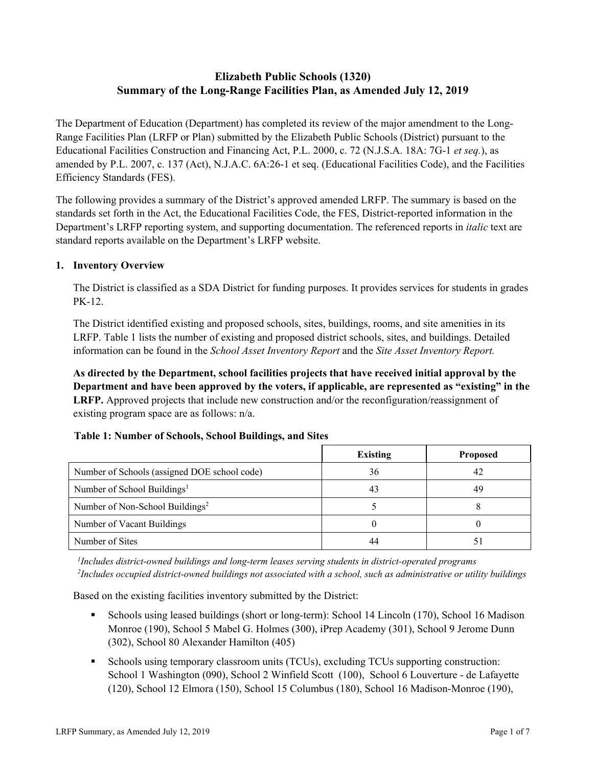# **Elizabeth Public Schools (1320) Summary of the Long-Range Facilities Plan, as Amended July 12, 2019**

The Department of Education (Department) has completed its review of the major amendment to the Long-Range Facilities Plan (LRFP or Plan) submitted by the Elizabeth Public Schools (District) pursuant to the Educational Facilities Construction and Financing Act, P.L. 2000, c. 72 (N.J.S.A. 18A: 7G-1 *et seq.*), as amended by P.L. 2007, c. 137 (Act), N.J.A.C. 6A:26-1 et seq. (Educational Facilities Code), and the Facilities Efficiency Standards (FES).

The following provides a summary of the District's approved amended LRFP. The summary is based on the standards set forth in the Act, the Educational Facilities Code, the FES, District-reported information in the Department's LRFP reporting system, and supporting documentation. The referenced reports in *italic* text are standard reports available on the Department's LRFP website.

# **1. Inventory Overview**

The District is classified as a SDA District for funding purposes. It provides services for students in grades PK-12.

The District identified existing and proposed schools, sites, buildings, rooms, and site amenities in its LRFP. Table 1 lists the number of existing and proposed district schools, sites, and buildings. Detailed information can be found in the *School Asset Inventory Report* and the *Site Asset Inventory Report.*

**As directed by the Department, school facilities projects that have received initial approval by the Department and have been approved by the voters, if applicable, are represented as "existing" in the LRFP.** Approved projects that include new construction and/or the reconfiguration/reassignment of existing program space are as follows: n/a.

|                                              | <b>Existing</b> | <b>Proposed</b> |
|----------------------------------------------|-----------------|-----------------|
| Number of Schools (assigned DOE school code) | 36              | 42              |
| Number of School Buildings <sup>1</sup>      | 43              | 49              |
| Number of Non-School Buildings <sup>2</sup>  |                 |                 |
| Number of Vacant Buildings                   |                 |                 |
| Number of Sites                              |                 |                 |

# **Table 1: Number of Schools, School Buildings, and Sites**

*1 Includes district-owned buildings and long-term leases serving students in district-operated programs 2 Includes occupied district-owned buildings not associated with a school, such as administrative or utility buildings*

Based on the existing facilities inventory submitted by the District:

- Schools using leased buildings (short or long-term): School 14 Lincoln (170), School 16 Madison Monroe (190), School 5 Mabel G. Holmes (300), iPrep Academy (301), School 9 Jerome Dunn (302), School 80 Alexander Hamilton (405)
- Schools using temporary classroom units (TCUs), excluding TCUs supporting construction: School 1 Washington (090), School 2 Winfield Scott (100), School 6 Louverture - de Lafayette (120), School 12 Elmora (150), School 15 Columbus (180), School 16 Madison-Monroe (190),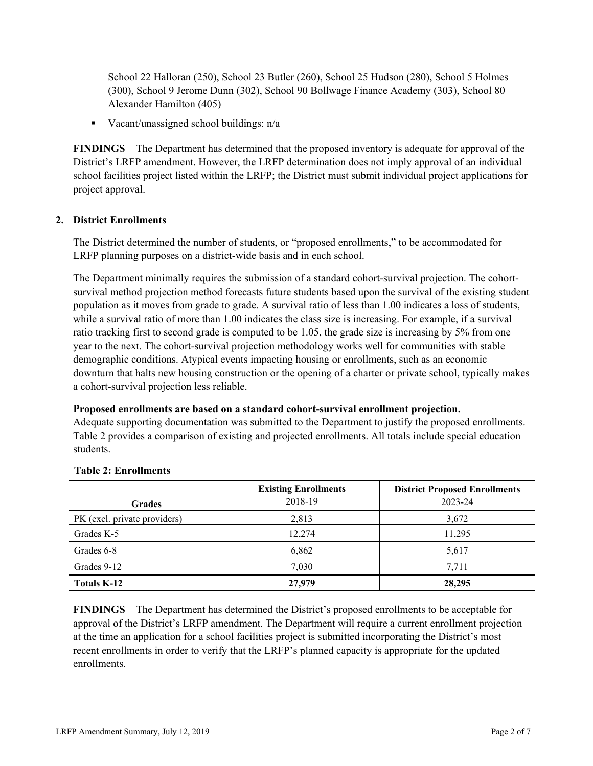School 22 Halloran (250), School 23 Butler (260), School 25 Hudson (280), School 5 Holmes (300), School 9 Jerome Dunn (302), School 90 Bollwage Finance Academy (303), School 80 Alexander Hamilton (405)

Vacant/unassigned school buildings:  $n/a$ 

**FINDINGS** The Department has determined that the proposed inventory is adequate for approval of the District's LRFP amendment. However, the LRFP determination does not imply approval of an individual school facilities project listed within the LRFP; the District must submit individual project applications for project approval.

# **2. District Enrollments**

The District determined the number of students, or "proposed enrollments," to be accommodated for LRFP planning purposes on a district-wide basis and in each school.

The Department minimally requires the submission of a standard cohort-survival projection. The cohortsurvival method projection method forecasts future students based upon the survival of the existing student population as it moves from grade to grade. A survival ratio of less than 1.00 indicates a loss of students, while a survival ratio of more than 1.00 indicates the class size is increasing. For example, if a survival ratio tracking first to second grade is computed to be 1.05, the grade size is increasing by 5% from one year to the next. The cohort-survival projection methodology works well for communities with stable demographic conditions. Atypical events impacting housing or enrollments, such as an economic downturn that halts new housing construction or the opening of a charter or private school, typically makes a cohort-survival projection less reliable.

#### **Proposed enrollments are based on a standard cohort-survival enrollment projection.**

Adequate supporting documentation was submitted to the Department to justify the proposed enrollments. Table 2 provides a comparison of existing and projected enrollments. All totals include special education students.

| <b>Grades</b>                | <b>Existing Enrollments</b><br>2018-19 | <b>District Proposed Enrollments</b><br>2023-24 |
|------------------------------|----------------------------------------|-------------------------------------------------|
| PK (excl. private providers) | 2,813                                  | 3,672                                           |
| Grades K-5                   | 12,274                                 | 11,295                                          |
| Grades 6-8                   | 6,862                                  | 5,617                                           |
| Grades 9-12                  | 7,030                                  | 7.711                                           |
| <b>Totals K-12</b>           | 27,979                                 | 28,295                                          |

#### **Table 2: Enrollments**

**FINDINGS** The Department has determined the District's proposed enrollments to be acceptable for approval of the District's LRFP amendment. The Department will require a current enrollment projection at the time an application for a school facilities project is submitted incorporating the District's most recent enrollments in order to verify that the LRFP's planned capacity is appropriate for the updated enrollments.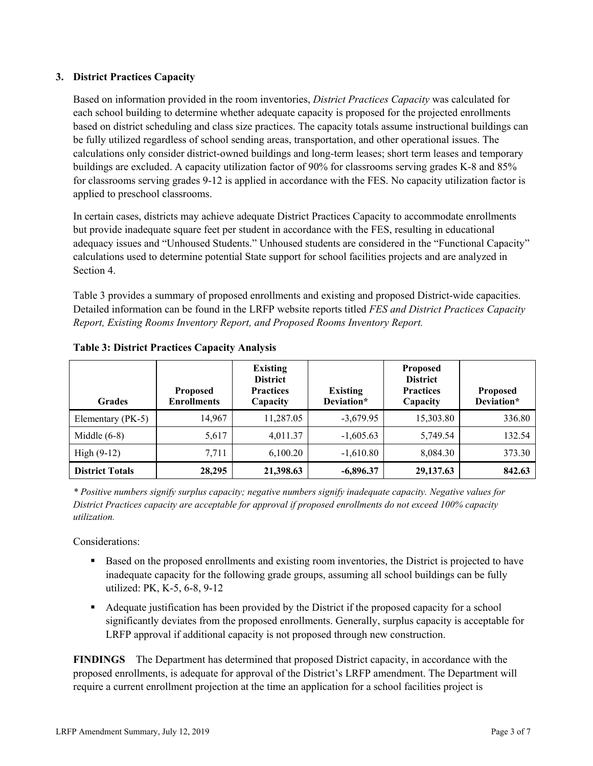# **3. District Practices Capacity**

Based on information provided in the room inventories, *District Practices Capacity* was calculated for each school building to determine whether adequate capacity is proposed for the projected enrollments based on district scheduling and class size practices. The capacity totals assume instructional buildings can be fully utilized regardless of school sending areas, transportation, and other operational issues. The calculations only consider district-owned buildings and long-term leases; short term leases and temporary buildings are excluded. A capacity utilization factor of 90% for classrooms serving grades K-8 and 85% for classrooms serving grades 9-12 is applied in accordance with the FES. No capacity utilization factor is applied to preschool classrooms.

In certain cases, districts may achieve adequate District Practices Capacity to accommodate enrollments but provide inadequate square feet per student in accordance with the FES, resulting in educational adequacy issues and "Unhoused Students." Unhoused students are considered in the "Functional Capacity" calculations used to determine potential State support for school facilities projects and are analyzed in Section 4.

Table 3 provides a summary of proposed enrollments and existing and proposed District-wide capacities. Detailed information can be found in the LRFP website reports titled *FES and District Practices Capacity Report, Existing Rooms Inventory Report, and Proposed Rooms Inventory Report.*

| <b>Grades</b>          | <b>Proposed</b><br><b>Enrollments</b> | <b>Existing</b><br><b>District</b><br><b>Practices</b><br>Capacity | <b>Existing</b><br>Deviation* | <b>Proposed</b><br><b>District</b><br><b>Practices</b><br>Capacity | <b>Proposed</b><br>Deviation* |
|------------------------|---------------------------------------|--------------------------------------------------------------------|-------------------------------|--------------------------------------------------------------------|-------------------------------|
| Elementary (PK-5)      | 14,967                                | 11,287.05                                                          | $-3,679.95$                   | 15,303.80                                                          | 336.80                        |
| Middle $(6-8)$         | 5,617                                 | 4,011.37                                                           | $-1,605.63$                   | 5,749.54                                                           | 132.54                        |
| High $(9-12)$          | 7,711                                 | 6,100.20                                                           | $-1,610.80$                   | 8,084.30                                                           | 373.30                        |
| <b>District Totals</b> | 28,295                                | 21,398.63                                                          | $-6,896.37$                   | 29, 137. 63                                                        | 842.63                        |

| <b>Table 3: District Practices Capacity Analysis</b> |  |
|------------------------------------------------------|--|
|------------------------------------------------------|--|

*\* Positive numbers signify surplus capacity; negative numbers signify inadequate capacity. Negative values for District Practices capacity are acceptable for approval if proposed enrollments do not exceed 100% capacity utilization.*

Considerations:

- Based on the proposed enrollments and existing room inventories, the District is projected to have inadequate capacity for the following grade groups, assuming all school buildings can be fully utilized: PK, K-5, 6-8, 9-12
- Adequate justification has been provided by the District if the proposed capacity for a school significantly deviates from the proposed enrollments. Generally, surplus capacity is acceptable for LRFP approval if additional capacity is not proposed through new construction.

**FINDINGS**The Department has determined that proposed District capacity, in accordance with the proposed enrollments, is adequate for approval of the District's LRFP amendment. The Department will require a current enrollment projection at the time an application for a school facilities project is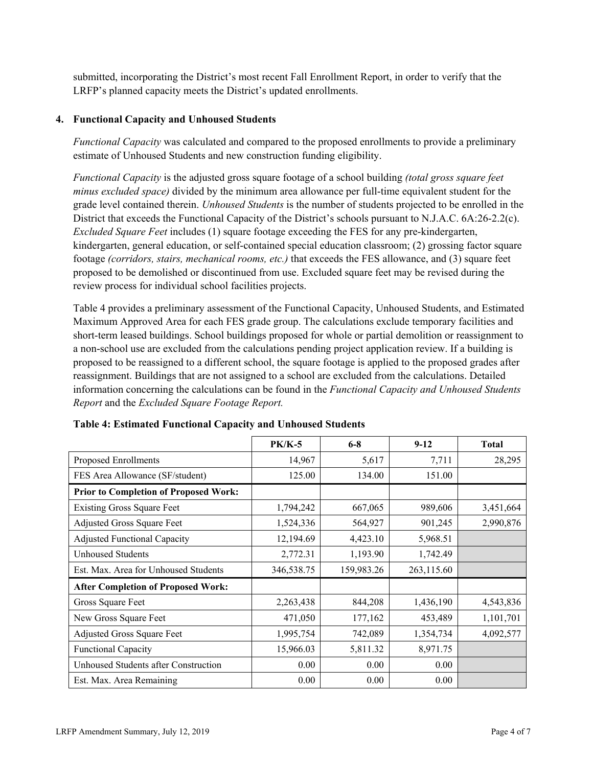submitted, incorporating the District's most recent Fall Enrollment Report, in order to verify that the LRFP's planned capacity meets the District's updated enrollments.

# **4. Functional Capacity and Unhoused Students**

*Functional Capacity* was calculated and compared to the proposed enrollments to provide a preliminary estimate of Unhoused Students and new construction funding eligibility.

*Functional Capacity* is the adjusted gross square footage of a school building *(total gross square feet minus excluded space)* divided by the minimum area allowance per full-time equivalent student for the grade level contained therein. *Unhoused Students* is the number of students projected to be enrolled in the District that exceeds the Functional Capacity of the District's schools pursuant to N.J.A.C. 6A:26-2.2(c). *Excluded Square Feet* includes (1) square footage exceeding the FES for any pre-kindergarten, kindergarten, general education, or self-contained special education classroom; (2) grossing factor square footage *(corridors, stairs, mechanical rooms, etc.)* that exceeds the FES allowance, and (3) square feet proposed to be demolished or discontinued from use. Excluded square feet may be revised during the review process for individual school facilities projects.

Table 4 provides a preliminary assessment of the Functional Capacity, Unhoused Students, and Estimated Maximum Approved Area for each FES grade group. The calculations exclude temporary facilities and short-term leased buildings. School buildings proposed for whole or partial demolition or reassignment to a non-school use are excluded from the calculations pending project application review. If a building is proposed to be reassigned to a different school, the square footage is applied to the proposed grades after reassignment. Buildings that are not assigned to a school are excluded from the calculations. Detailed information concerning the calculations can be found in the *Functional Capacity and Unhoused Students Report* and the *Excluded Square Footage Report.*

|                                              | <b>PK/K-5</b> | $6 - 8$    | $9-12$     | <b>Total</b> |
|----------------------------------------------|---------------|------------|------------|--------------|
| Proposed Enrollments                         | 14,967        | 5,617      | 7,711      | 28,295       |
| FES Area Allowance (SF/student)              | 125.00        | 134.00     | 151.00     |              |
| <b>Prior to Completion of Proposed Work:</b> |               |            |            |              |
| <b>Existing Gross Square Feet</b>            | 1,794,242     | 667,065    | 989,606    | 3,451,664    |
| Adjusted Gross Square Feet                   | 1,524,336     | 564,927    | 901,245    | 2,990,876    |
| <b>Adjusted Functional Capacity</b>          | 12,194.69     | 4,423.10   | 5,968.51   |              |
| Unhoused Students                            | 2,772.31      | 1,193.90   | 1,742.49   |              |
| Est. Max. Area for Unhoused Students         | 346,538.75    | 159,983.26 | 263,115.60 |              |
| <b>After Completion of Proposed Work:</b>    |               |            |            |              |
| Gross Square Feet                            | 2,263,438     | 844,208    | 1,436,190  | 4,543,836    |
| New Gross Square Feet                        | 471,050       | 177,162    | 453,489    | 1,101,701    |
| Adjusted Gross Square Feet                   | 1,995,754     | 742,089    | 1,354,734  | 4,092,577    |
| <b>Functional Capacity</b>                   | 15,966.03     | 5,811.32   | 8,971.75   |              |
| Unhoused Students after Construction         | 0.00          | 0.00       | 0.00       |              |
| Est. Max. Area Remaining                     | 0.00          | 0.00       | 0.00       |              |

| <b>Table 4: Estimated Functional Capacity and Unhoused Students</b> |  |  |  |
|---------------------------------------------------------------------|--|--|--|
|                                                                     |  |  |  |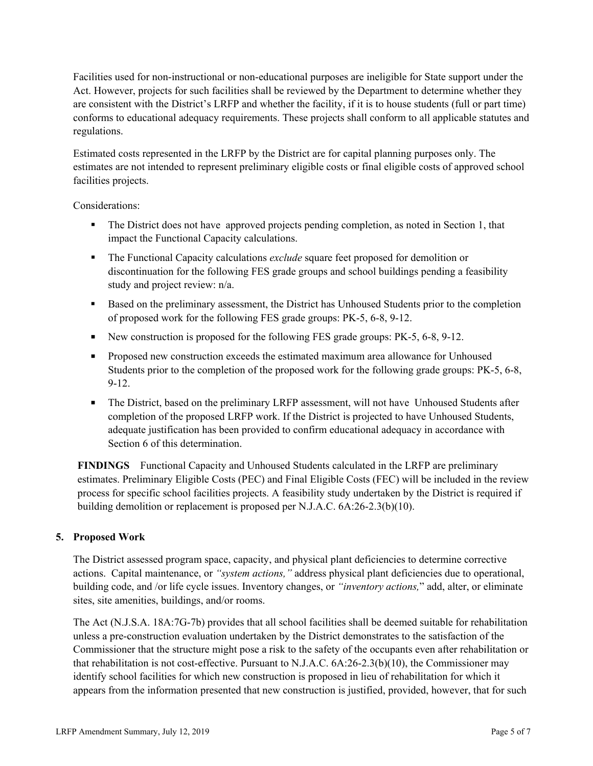Facilities used for non-instructional or non-educational purposes are ineligible for State support under the Act. However, projects for such facilities shall be reviewed by the Department to determine whether they are consistent with the District's LRFP and whether the facility, if it is to house students (full or part time) conforms to educational adequacy requirements. These projects shall conform to all applicable statutes and regulations.

Estimated costs represented in the LRFP by the District are for capital planning purposes only. The estimates are not intended to represent preliminary eligible costs or final eligible costs of approved school facilities projects.

Considerations:

- The District does not have approved projects pending completion, as noted in Section 1, that impact the Functional Capacity calculations.
- The Functional Capacity calculations *exclude* square feet proposed for demolition or discontinuation for the following FES grade groups and school buildings pending a feasibility study and project review: n/a.
- Based on the preliminary assessment, the District has Unhoused Students prior to the completion of proposed work for the following FES grade groups: PK-5, 6-8, 9-12.
- New construction is proposed for the following FES grade groups: PK-5, 6-8, 9-12.
- **Proposed new construction exceeds the estimated maximum area allowance for Unhoused** Students prior to the completion of the proposed work for the following grade groups: PK-5, 6-8, 9-12.
- The District, based on the preliminary LRFP assessment, will not have Unhoused Students after completion of the proposed LRFP work. If the District is projected to have Unhoused Students, adequate justification has been provided to confirm educational adequacy in accordance with Section 6 of this determination.

**FINDINGS** Functional Capacity and Unhoused Students calculated in the LRFP are preliminary estimates. Preliminary Eligible Costs (PEC) and Final Eligible Costs (FEC) will be included in the review process for specific school facilities projects. A feasibility study undertaken by the District is required if building demolition or replacement is proposed per N.J.A.C. 6A:26-2.3(b)(10).

# **5. Proposed Work**

The District assessed program space, capacity, and physical plant deficiencies to determine corrective actions. Capital maintenance, or *"system actions,"* address physical plant deficiencies due to operational, building code, and /or life cycle issues. Inventory changes, or *"inventory actions,*" add, alter, or eliminate sites, site amenities, buildings, and/or rooms.

The Act (N.J.S.A. 18A:7G-7b) provides that all school facilities shall be deemed suitable for rehabilitation unless a pre-construction evaluation undertaken by the District demonstrates to the satisfaction of the Commissioner that the structure might pose a risk to the safety of the occupants even after rehabilitation or that rehabilitation is not cost-effective. Pursuant to N.J.A.C. 6A:26-2.3(b)(10), the Commissioner may identify school facilities for which new construction is proposed in lieu of rehabilitation for which it appears from the information presented that new construction is justified, provided, however, that for such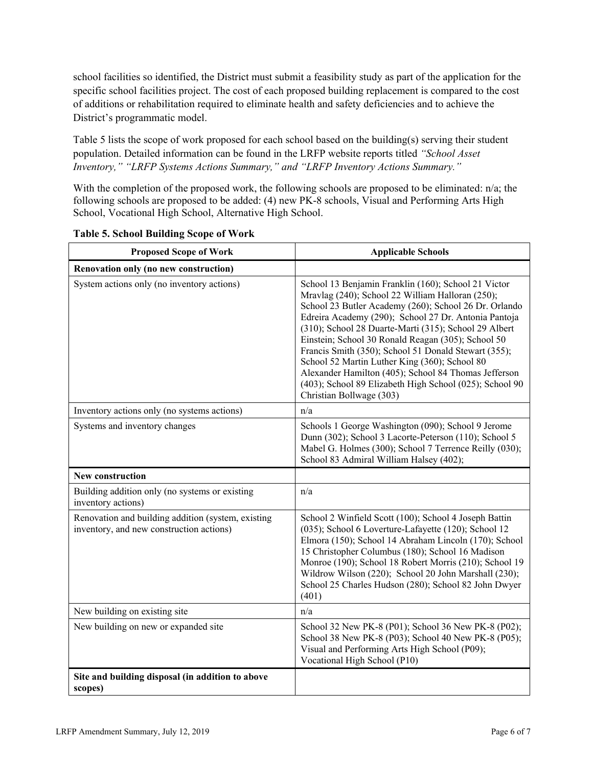school facilities so identified, the District must submit a feasibility study as part of the application for the specific school facilities project. The cost of each proposed building replacement is compared to the cost of additions or rehabilitation required to eliminate health and safety deficiencies and to achieve the District's programmatic model.

Table 5 lists the scope of work proposed for each school based on the building(s) serving their student population. Detailed information can be found in the LRFP website reports titled *"School Asset Inventory," "LRFP Systems Actions Summary," and "LRFP Inventory Actions Summary."*

With the completion of the proposed work, the following schools are proposed to be eliminated: n/a; the following schools are proposed to be added: (4) new PK-8 schools, Visual and Performing Arts High School, Vocational High School, Alternative High School.

| <b>Proposed Scope of Work</b>                                                                  | <b>Applicable Schools</b>                                                                                                                                                                                                                                                                                                                                                                                                                                                                                                                                                                       |
|------------------------------------------------------------------------------------------------|-------------------------------------------------------------------------------------------------------------------------------------------------------------------------------------------------------------------------------------------------------------------------------------------------------------------------------------------------------------------------------------------------------------------------------------------------------------------------------------------------------------------------------------------------------------------------------------------------|
| Renovation only (no new construction)                                                          |                                                                                                                                                                                                                                                                                                                                                                                                                                                                                                                                                                                                 |
| System actions only (no inventory actions)                                                     | School 13 Benjamin Franklin (160); School 21 Victor<br>Mravlag (240); School 22 William Halloran (250);<br>School 23 Butler Academy (260); School 26 Dr. Orlando<br>Edreira Academy (290); School 27 Dr. Antonia Pantoja<br>(310); School 28 Duarte-Marti (315); School 29 Albert<br>Einstein; School 30 Ronald Reagan (305); School 50<br>Francis Smith (350); School 51 Donald Stewart (355);<br>School 52 Martin Luther King (360); School 80<br>Alexander Hamilton (405); School 84 Thomas Jefferson<br>(403); School 89 Elizabeth High School (025); School 90<br>Christian Bollwage (303) |
| Inventory actions only (no systems actions)                                                    | n/a                                                                                                                                                                                                                                                                                                                                                                                                                                                                                                                                                                                             |
| Systems and inventory changes                                                                  | Schools 1 George Washington (090); School 9 Jerome<br>Dunn (302); School 3 Lacorte-Peterson (110); School 5<br>Mabel G. Holmes (300); School 7 Terrence Reilly (030);<br>School 83 Admiral William Halsey (402);                                                                                                                                                                                                                                                                                                                                                                                |
| <b>New construction</b>                                                                        |                                                                                                                                                                                                                                                                                                                                                                                                                                                                                                                                                                                                 |
| Building addition only (no systems or existing<br>inventory actions)                           | n/a                                                                                                                                                                                                                                                                                                                                                                                                                                                                                                                                                                                             |
| Renovation and building addition (system, existing<br>inventory, and new construction actions) | School 2 Winfield Scott (100); School 4 Joseph Battin<br>(035); School 6 Loverture-Lafayette (120); School 12<br>Elmora (150); School 14 Abraham Lincoln (170); School<br>15 Christopher Columbus (180); School 16 Madison<br>Monroe (190); School 18 Robert Morris (210); School 19<br>Wildrow Wilson (220); School 20 John Marshall (230);<br>School 25 Charles Hudson (280); School 82 John Dwyer<br>(401)                                                                                                                                                                                   |
| New building on existing site                                                                  | n/a                                                                                                                                                                                                                                                                                                                                                                                                                                                                                                                                                                                             |
| New building on new or expanded site                                                           | School 32 New PK-8 (P01); School 36 New PK-8 (P02);<br>School 38 New PK-8 (P03); School 40 New PK-8 (P05);<br>Visual and Performing Arts High School (P09);<br>Vocational High School (P10)                                                                                                                                                                                                                                                                                                                                                                                                     |
| Site and building disposal (in addition to above<br>scopes)                                    |                                                                                                                                                                                                                                                                                                                                                                                                                                                                                                                                                                                                 |

# **Table 5. School Building Scope of Work**